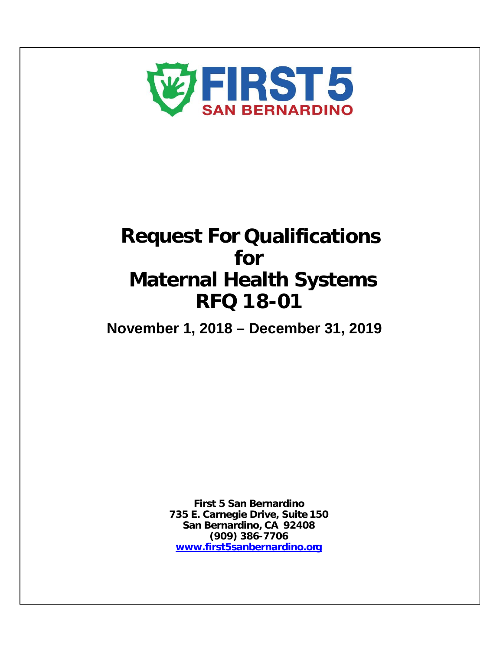

# **Request For Qualifications for Maternal Health Systems RFQ 18-01**

**November 1, 2018 – December 31, 2019**

**First 5 San Bernardino 735 E. Carnegie Drive, Suite 150 San Bernardino, CA 92408 (909) 386-7706 [www.first5sanbernardino.org](http://www.first5sanbernardino.org/)**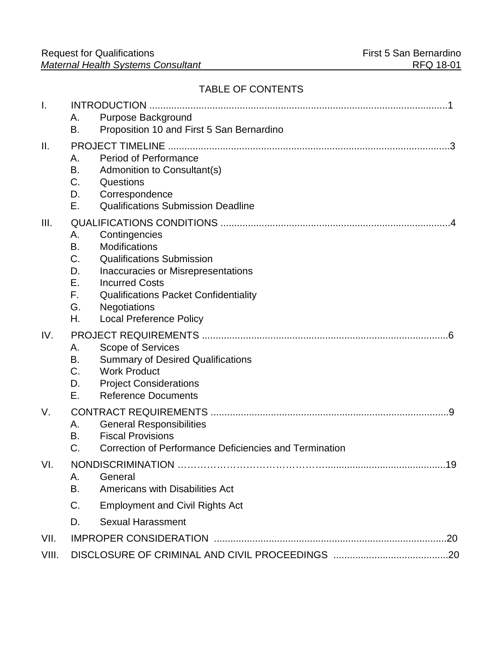# TABLE OF CONTENTS

| $\mathsf{I}$ . |          |                                                                                    |    |
|----------------|----------|------------------------------------------------------------------------------------|----|
|                | Α.       | Purpose Background                                                                 |    |
|                | В.       | Proposition 10 and First 5 San Bernardino                                          |    |
| Ш.             | .3       |                                                                                    |    |
|                | Α.       | <b>Period of Performance</b>                                                       |    |
|                | В.       | Admonition to Consultant(s)                                                        |    |
|                | C.       | Questions                                                                          |    |
|                | D.       | Correspondence                                                                     |    |
|                | Е.       | <b>Qualifications Submission Deadline</b>                                          |    |
| III.           |          |                                                                                    |    |
|                | Α.       | Contingencies                                                                      |    |
|                | В.       | <b>Modifications</b>                                                               |    |
|                | C.       | <b>Qualifications Submission</b>                                                   |    |
|                | D.<br>Е. | Inaccuracies or Misrepresentations<br><b>Incurred Costs</b>                        |    |
|                | F.       | <b>Qualifications Packet Confidentiality</b>                                       |    |
|                | G.       | <b>Negotiations</b>                                                                |    |
|                | Η.       | <b>Local Preference Policy</b>                                                     |    |
| IV.            |          |                                                                                    |    |
|                | Α.       | Scope of Services                                                                  |    |
|                | В.       | <b>Summary of Desired Qualifications</b>                                           |    |
|                | C.       | <b>Work Product</b>                                                                |    |
|                | D.       | <b>Project Considerations</b>                                                      |    |
|                | Е.       | <b>Reference Documents</b>                                                         |    |
| V.             |          |                                                                                    |    |
|                | Α.       | <b>General Responsibilities</b>                                                    |    |
|                | В.<br>C. | <b>Fiscal Provisions</b><br>Correction of Performance Deficiencies and Termination |    |
|                |          |                                                                                    |    |
| VI.            |          | <b>NONDISCRIMINATION</b>                                                           | 19 |
|                | Α.<br>В. | General<br>Americans with Disabilities Act                                         |    |
|                |          |                                                                                    |    |
|                | C.       | <b>Employment and Civil Rights Act</b>                                             |    |
|                | D.       | <b>Sexual Harassment</b>                                                           |    |
| VII.           |          |                                                                                    |    |
| VIII.          |          |                                                                                    |    |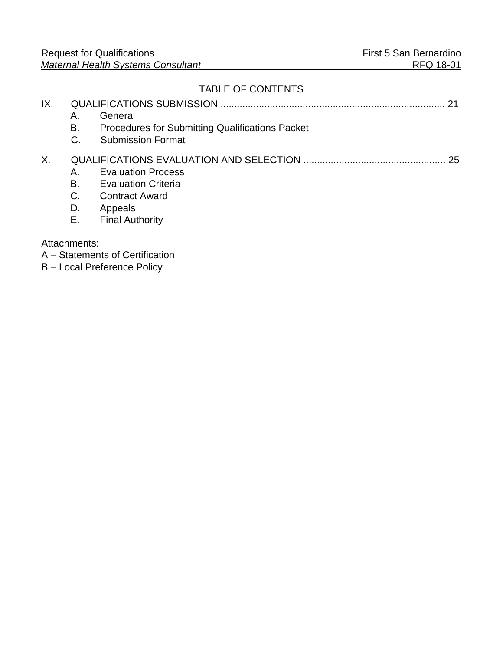# TABLE OF CONTENTS

| IX. | Α.<br>В.<br>C.             | General<br>Procedures for Submitting Qualifications Packet<br><b>Submission Format</b>                                |    |
|-----|----------------------------|-----------------------------------------------------------------------------------------------------------------------|----|
| Χ.  | Α.<br>В.<br>C.<br>D.<br>Е. | <b>Evaluation Process</b><br><b>Evaluation Criteria</b><br><b>Contract Award</b><br>Appeals<br><b>Final Authority</b> | 25 |
|     | Attachments:               | A – Statements of Certification<br>B - Local Preference Policy                                                        |    |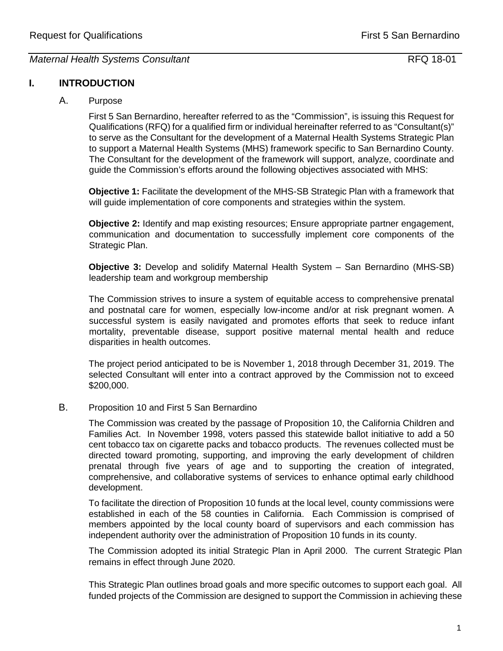# **I. INTRODUCTION**

# A. Purpose

First 5 San Bernardino, hereafter referred to as the "Commission", is issuing this Request for Qualifications (RFQ) for a qualified firm or individual hereinafter referred to as "Consultant(s)" to serve as the Consultant for the development of a Maternal Health Systems Strategic Plan to support a Maternal Health Systems (MHS) framework specific to San Bernardino County. The Consultant for the development of the framework will support, analyze, coordinate and guide the Commission's efforts around the following objectives associated with MHS:

**Objective 1:** Facilitate the development of the MHS-SB Strategic Plan with a framework that will guide implementation of core components and strategies within the system.

**Objective 2:** Identify and map existing resources; Ensure appropriate partner engagement, communication and documentation to successfully implement core components of the Strategic Plan.

**Objective 3:** Develop and solidify Maternal Health System – San Bernardino (MHS-SB) leadership team and workgroup membership

The Commission strives to insure a system of equitable access to comprehensive prenatal and postnatal care for women, especially low-income and/or at risk pregnant women. A successful system is easily navigated and promotes efforts that seek to reduce infant mortality, preventable disease, support positive maternal mental health and reduce disparities in health outcomes.

The project period anticipated to be is November 1, 2018 through December 31, 2019. The selected Consultant will enter into a contract approved by the Commission not to exceed \$200,000.

# B. Proposition 10 and First 5 San Bernardino

The Commission was created by the passage of Proposition 10, the California Children and Families Act. In November 1998, voters passed this statewide ballot initiative to add a 50 cent tobacco tax on cigarette packs and tobacco products. The revenues collected must be directed toward promoting, supporting, and improving the early development of children prenatal through five years of age and to supporting the creation of integrated, comprehensive, and collaborative systems of services to enhance optimal early childhood development.

To facilitate the direction of Proposition 10 funds at the local level, county commissions were established in each of the 58 counties in California. Each Commission is comprised of members appointed by the local county board of supervisors and each commission has independent authority over the administration of Proposition 10 funds in its county.

The Commission adopted its initial Strategic Plan in April 2000. The current Strategic Plan remains in effect through June 2020.

This Strategic Plan outlines broad goals and more specific outcomes to support each goal. All funded projects of the Commission are designed to support the Commission in achieving these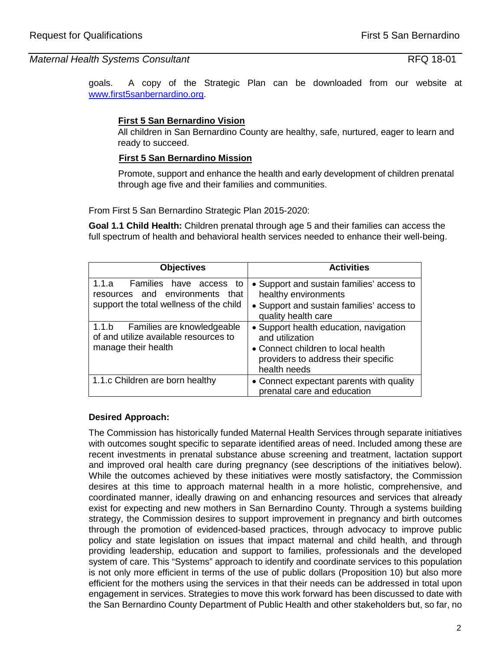goals. A copy of the Strategic Plan can be downloaded from our website at [www.first5sanbernardino.org.](http://www.first5sanbernardino.org/)

# **First 5 San Bernardino Vision**

All children in San Bernardino County are healthy, safe, nurtured, eager to learn and ready to succeed.

# **First 5 San Bernardino Mission**

Promote, support and enhance the health and early development of children prenatal through age five and their families and communities.

From First 5 San Bernardino Strategic Plan 2015-2020:

**Goal 1.1 Child Health:** Children prenatal through age 5 and their families can access the full spectrum of health and behavioral health services needed to enhance their well-being.

| <b>Objectives</b>                                                                                                 | <b>Activities</b>                                                                                                                                      |
|-------------------------------------------------------------------------------------------------------------------|--------------------------------------------------------------------------------------------------------------------------------------------------------|
| Families<br>1.1.a<br>have access to<br>resources and environments that<br>support the total wellness of the child | • Support and sustain families' access to<br>healthy environments<br>• Support and sustain families' access to<br>quality health care                  |
| 1.1.b Families are knowledgeable<br>of and utilize available resources to<br>manage their health                  | • Support health education, navigation<br>and utilization<br>• Connect children to local health<br>providers to address their specific<br>health needs |
| 1.1.c Children are born healthy                                                                                   | • Connect expectant parents with quality<br>prenatal care and education                                                                                |

## **Desired Approach:**

The Commission has historically funded Maternal Health Services through separate initiatives with outcomes sought specific to separate identified areas of need. Included among these are recent investments in prenatal substance abuse screening and treatment, lactation support and improved oral health care during pregnancy (see descriptions of the initiatives below). While the outcomes achieved by these initiatives were mostly satisfactory, the Commission desires at this time to approach maternal health in a more holistic, comprehensive, and coordinated manner, ideally drawing on and enhancing resources and services that already exist for expecting and new mothers in San Bernardino County. Through a systems building strategy, the Commission desires to support improvement in pregnancy and birth outcomes through the promotion of evidenced-based practices, through advocacy to improve public policy and state legislation on issues that impact maternal and child health, and through providing leadership, education and support to families, professionals and the developed system of care. This "Systems" approach to identify and coordinate services to this population is not only more efficient in terms of the use of public dollars (Proposition 10) but also more efficient for the mothers using the services in that their needs can be addressed in total upon engagement in services. Strategies to move this work forward has been discussed to date with the San Bernardino County Department of Public Health and other stakeholders but, so far, no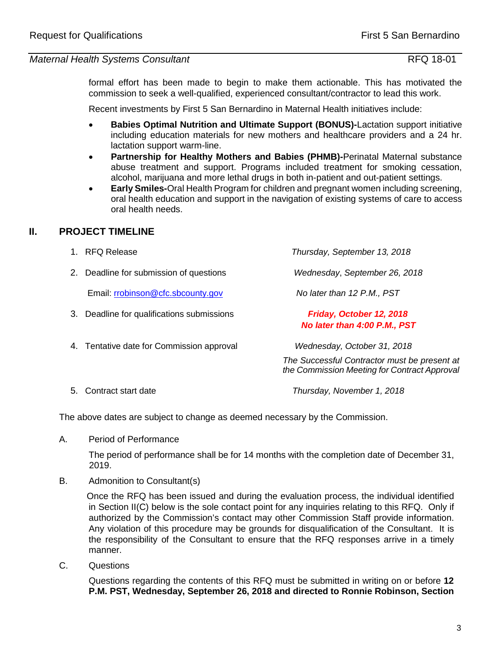formal effort has been made to begin to make them actionable. This has motivated the commission to seek a well-qualified, experienced consultant/contractor to lead this work.

Recent investments by First 5 San Bernardino in Maternal Health initiatives include:

- **Babies Optimal Nutrition and Ultimate Support (BONUS)-**Lactation support initiative including education materials for new mothers and healthcare providers and a 24 hr. lactation support warm-line.
- **Partnership for Healthy Mothers and Babies (PHMB)-**Perinatal Maternal substance abuse treatment and support. Programs included treatment for smoking cessation, alcohol, marijuana and more lethal drugs in both in-patient and out-patient settings.
- **Early Smiles-**Oral Health Program for children and pregnant women including screening, oral health education and support in the navigation of existing systems of care to access oral health needs.

# **II. PROJECT TIMELINE**

|    | <b>RFQ Release</b>                        | Thursday, September 13, 2018                                                                 |
|----|-------------------------------------------|----------------------------------------------------------------------------------------------|
| 2. | Deadline for submission of questions      | Wednesday, September 26, 2018                                                                |
|    | Email: rrobinson@cfc.sbcounty.gov         | No later than 12 P.M., PST                                                                   |
| З. | Deadline for qualifications submissions   | Friday, October 12, 2018<br>No later than 4:00 P.M., PST                                     |
|    | 4. Tentative date for Commission approval | Wednesday, October 31, 2018                                                                  |
|    |                                           | The Successful Contractor must be present at<br>the Commission Meeting for Contract Approval |
|    | — <u>.</u>                                |                                                                                              |

5. Contract start date *Thursday, November 1, 2018*

The above dates are subject to change as deemed necessary by the Commission.

A. Period of Performance

The period of performance shall be for 14 months with the completion date of December 31, 2019.

B. Admonition to Consultant(s)

 Once the RFQ has been issued and during the evaluation process, the individual identified in Section II(C) below is the sole contact point for any inquiries relating to this RFQ. Only if authorized by the Commission's contact may other Commission Staff provide information. Any violation of this procedure may be grounds for disqualification of the Consultant. It is the responsibility of the Consultant to ensure that the RFQ responses arrive in a timely manner.

C. Questions

Questions regarding the contents of this RFQ must be submitted in writing on or before **12 P.M. PST, Wednesday, September 26, 2018 and directed to Ronnie Robinson, Section**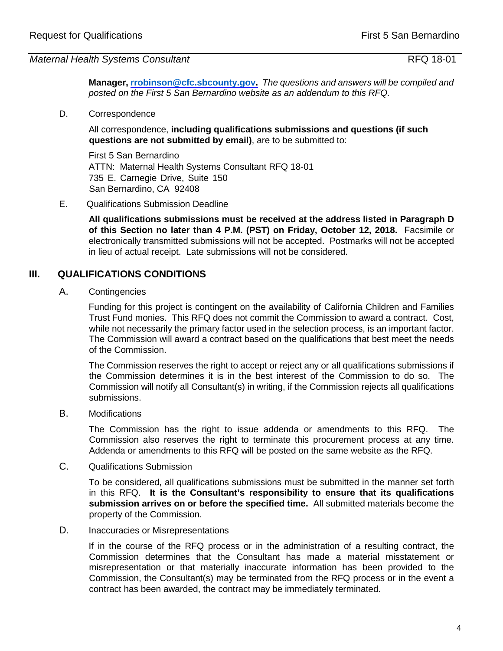**Manager, [rrobinson@cfc.sbcounty.gov.](mailto:rrobinson@cfc.sbcounty.gov)** *The questions and answers will be compiled and posted on the First 5 San Bernardino website as an addendum to this RFQ.* 

D. Correspondence

All correspondence, **including qualifications submissions and questions (if such questions are not submitted by email)**, are to be submitted to:

First 5 San Bernardino ATTN: Maternal Health Systems Consultant RFQ 18-01 735 E. Carnegie Drive, Suite 150 San Bernardino, CA 92408

E. Qualifications Submission Deadline

**All qualifications submissions must be received at the address listed in Paragraph D of this Section no later than 4 P.M. (PST) on Friday, October 12, 2018.** Facsimile or electronically transmitted submissions will not be accepted. Postmarks will not be accepted in lieu of actual receipt. Late submissions will not be considered.

# **III. QUALIFICATIONS CONDITIONS**

A. Contingencies

Funding for this project is contingent on the availability of California Children and Families Trust Fund monies. This RFQ does not commit the Commission to award a contract. Cost, while not necessarily the primary factor used in the selection process, is an important factor. The Commission will award a contract based on the qualifications that best meet the needs of the Commission.

The Commission reserves the right to accept or reject any or all qualifications submissions if the Commission determines it is in the best interest of the Commission to do so. The Commission will notify all Consultant(s) in writing, if the Commission rejects all qualifications submissions.

B. Modifications

The Commission has the right to issue addenda or amendments to this RFQ. The Commission also reserves the right to terminate this procurement process at any time. Addenda or amendments to this RFQ will be posted on the same website as the RFQ.

C. Qualifications Submission

To be considered, all qualifications submissions must be submitted in the manner set forth in this RFQ. **It is the Consultant's responsibility to ensure that its qualifications submission arrives on or before the specified time.** All submitted materials become the property of the Commission.

# D. Inaccuracies or Misrepresentations

If in the course of the RFQ process or in the administration of a resulting contract, the Commission determines that the Consultant has made a material misstatement or misrepresentation or that materially inaccurate information has been provided to the Commission, the Consultant(s) may be terminated from the RFQ process or in the event a contract has been awarded, the contract may be immediately terminated.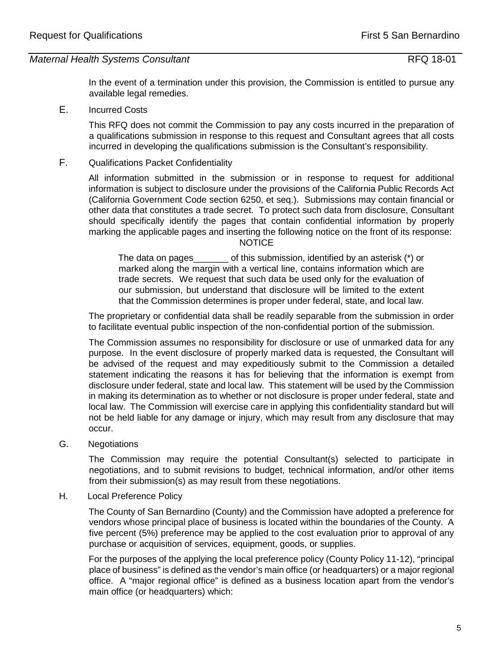In the event of a termination under this provision, the Commission is entitled to pursue any available legal remedies.

E. Incurred Costs

This RFQ does not commit the Commission to pay any costs incurred in the preparation of a qualifications submission in response to this request and Consultant agrees that all costs incurred in developing the qualifications submission is the Consultant's responsibility.

F. Qualifications Packet Confidentiality

All information submitted in the submission or in response to request for additional information is subject to disclosure under the provisions of the California Public Records Act (California Government Code section 6250, et seq.). Submissions may contain financial or other data that constitutes a trade secret. To protect such data from disclosure, Consultant should specifically identify the pages that contain confidential information by properly marking the applicable pages and inserting the following notice on the front of its response: NOTICE

The data on pages of this submission, identified by an asterisk  $(*)$  or marked along the margin with a vertical line, contains information which are trade secrets. We request that such data be used only for the evaluation of our submission, but understand that disclosure will be limited to the extent that the Commission determines is proper under federal, state, and local law.

The proprietary or confidential data shall be readily separable from the submission in order to facilitate eventual public inspection of the non-confidential portion of the submission.

The Commission assumes no responsibility for disclosure or use of unmarked data for any purpose. In the event disclosure of properly marked data is requested, the Consultant will be advised of the request and may expeditiously submit to the Commission a detailed statement indicating the reasons it has for believing that the information is exempt from disclosure under federal, state and local law. This statement will be used by the Commission in making its determination as to whether or not disclosure is proper under federal, state and local law. The Commission will exercise care in applying this confidentiality standard but will not be held liable for any damage or injury, which may result from any disclosure that may occur.

G. Negotiations

The Commission may require the potential Consultant(s) selected to participate in negotiations, and to submit revisions to budget, technical information, and/or other items from their submission(s) as may result from these negotiations.

H. Local Preference Policy

The County of San Bernardino (County) and the Commission have adopted a preference for vendors whose principal place of business is located within the boundaries of the County. A five percent (5%) preference may be applied to the cost evaluation prior to approval of any purchase or acquisition of services, equipment, goods, or supplies.

For the purposes of the applying the local preference policy (County Policy 11-12), "principal place of business" is defined as the vendor's main office (or headquarters) or a major regional office. A "major regional office" is defined as a business location apart from the vendor's main office (or headquarters) which: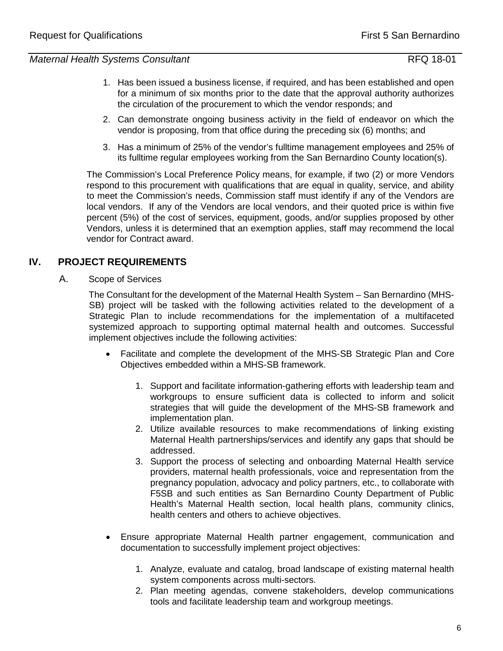- 1. Has been issued a business license, if required, and has been established and open for a minimum of six months prior to the date that the approval authority authorizes the circulation of the procurement to which the vendor responds; and
- 2. Can demonstrate ongoing business activity in the field of endeavor on which the vendor is proposing, from that office during the preceding six (6) months; and
- 3. Has a minimum of 25% of the vendor's fulltime management employees and 25% of its fulltime regular employees working from the San Bernardino County location(s).

The Commission's Local Preference Policy means, for example, if two (2) or more Vendors respond to this procurement with qualifications that are equal in quality, service, and ability to meet the Commission's needs, Commission staff must identify if any of the Vendors are local vendors. If any of the Vendors are local vendors, and their quoted price is within five percent (5%) of the cost of services, equipment, goods, and/or supplies proposed by other Vendors, unless it is determined that an exemption applies, staff may recommend the local vendor for Contract award.

# **IV. PROJECT REQUIREMENTS**

A. Scope of Services

The Consultant for the development of the Maternal Health System – San Bernardino (MHS-SB) project will be tasked with the following activities related to the development of a Strategic Plan to include recommendations for the implementation of a multifaceted systemized approach to supporting optimal maternal health and outcomes. Successful implement objectives include the following activities:

- Facilitate and complete the development of the MHS-SB Strategic Plan and Core Objectives embedded within a MHS-SB framework.
	- 1. Support and facilitate information-gathering efforts with leadership team and workgroups to ensure sufficient data is collected to inform and solicit strategies that will guide the development of the MHS-SB framework and implementation plan.
	- 2. Utilize available resources to make recommendations of linking existing Maternal Health partnerships/services and identify any gaps that should be addressed.
	- 3. Support the process of selecting and onboarding Maternal Health service providers, maternal health professionals, voice and representation from the pregnancy population, advocacy and policy partners, etc., to collaborate with F5SB and such entities as San Bernardino County Department of Public Health's Maternal Health section, local health plans, community clinics, health centers and others to achieve objectives.
- Ensure appropriate Maternal Health partner engagement, communication and documentation to successfully implement project objectives:
	- 1. Analyze, evaluate and catalog, broad landscape of existing maternal health system components across multi-sectors.
	- 2. Plan meeting agendas, convene stakeholders, develop communications tools and facilitate leadership team and workgroup meetings.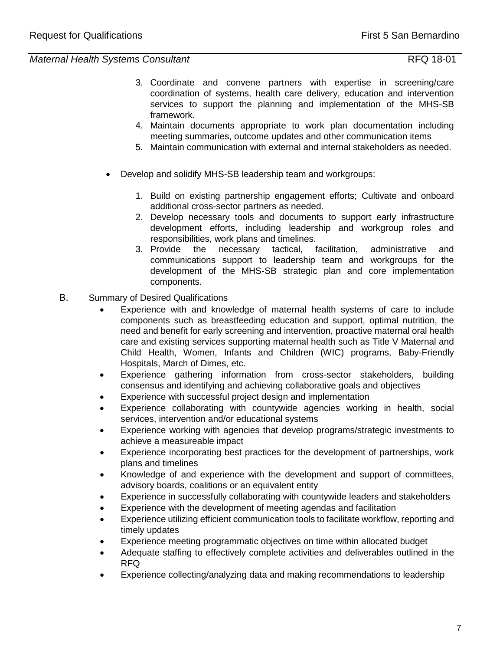- 3. Coordinate and convene partners with expertise in screening/care coordination of systems, health care delivery, education and intervention services to support the planning and implementation of the MHS-SB framework.
- 4. Maintain documents appropriate to work plan documentation including meeting summaries, outcome updates and other communication items
- 5. Maintain communication with external and internal stakeholders as needed.
- Develop and solidify MHS-SB leadership team and workgroups:
	- 1. Build on existing partnership engagement efforts; Cultivate and onboard additional cross-sector partners as needed.
	- 2. Develop necessary tools and documents to support early infrastructure development efforts, including leadership and workgroup roles and responsibilities, work plans and timelines.
	- 3. Provide the necessary tactical, facilitation, administrative and communications support to leadership team and workgroups for the development of the MHS-SB strategic plan and core implementation components.
- B. Summary of Desired Qualifications
	- Experience with and knowledge of maternal health systems of care to include components such as breastfeeding education and support, optimal nutrition, the need and benefit for early screening and intervention, proactive maternal oral health care and existing services supporting maternal health such as Title V Maternal and Child Health, Women, Infants and Children (WIC) programs, Baby-Friendly Hospitals, March of Dimes, etc.
	- Experience gathering information from cross-sector stakeholders, building consensus and identifying and achieving collaborative goals and objectives
	- Experience with successful project design and implementation
	- Experience collaborating with countywide agencies working in health, social services, intervention and/or educational systems
	- Experience working with agencies that develop programs/strategic investments to achieve a measureable impact
	- Experience incorporating best practices for the development of partnerships, work plans and timelines
	- Knowledge of and experience with the development and support of committees, advisory boards, coalitions or an equivalent entity
	- Experience in successfully collaborating with countywide leaders and stakeholders
	- Experience with the development of meeting agendas and facilitation
	- Experience utilizing efficient communication tools to facilitate workflow, reporting and timely updates
	- Experience meeting programmatic objectives on time within allocated budget
	- Adequate staffing to effectively complete activities and deliverables outlined in the RFQ
	- Experience collecting/analyzing data and making recommendations to leadership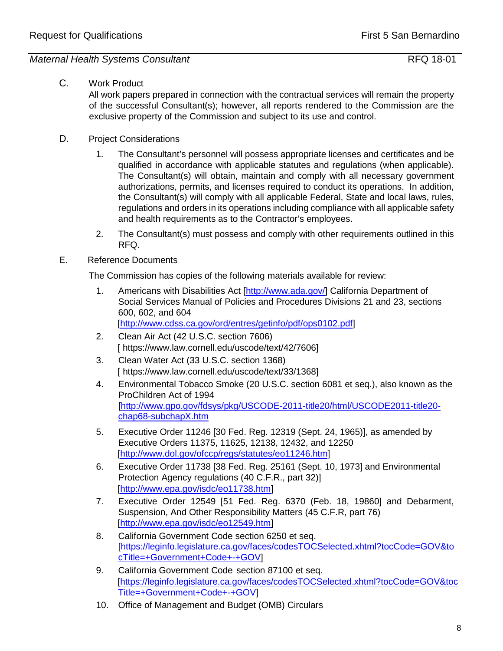# C. Work Product

All work papers prepared in connection with the contractual services will remain the property of the successful Consultant(s); however, all reports rendered to the Commission are the exclusive property of the Commission and subject to its use and control.

- D. Project Considerations
	- 1. The Consultant's personnel will possess appropriate licenses and certificates and be qualified in accordance with applicable statutes and regulations (when applicable). The Consultant(s) will obtain, maintain and comply with all necessary government authorizations, permits, and licenses required to conduct its operations. In addition, the Consultant(s) will comply with all applicable Federal, State and local laws, rules, regulations and orders in its operations including compliance with all applicable safety and health requirements as to the Contractor's employees.
	- 2. The Consultant(s) must possess and comply with other requirements outlined in this RFQ.

# E. Reference Documents

The Commission has copies of the following materials available for review:

- 1. Americans with Disabilities Act [\[http://www.ada.gov/\]](http://www.ada.gov/) California Department of Social Services Manual of Policies and Procedures Divisions 21 and 23, sections 600, 602, and 604 [\[http://www.cdss.ca.gov/ord/entres/getinfo/pdf/ops0102.pdf\]](http://www.cdss.ca.gov/ord/entres/getinfo/pdf/ops0102.pdf)
- 2. Clean Air Act (42 U.S.C. section 7606) [\[](http://www.law.cornell.edu/uscode/html/uscode42/usc_sec_42_00007606----000-.html) https://www.law.cornell.edu/uscode/text/42/760[6\]](http://www.law.cornell.edu/uscode/html/uscode42/usc_sec_42_00007606----000-.html)
- 3. Clean Water Act (33 U.S.C. section 1368) [\[](http://www.law.cornell.edu/uscode/html/uscode33/usc_sec_33_00001368----000-.html) https://www.law.cornell.edu/uscode/text/33/136[8\]](http://www.law.cornell.edu/uscode/html/uscode33/usc_sec_33_00001368----000-.html)
- 4. Environmental Tobacco Smoke (20 U.S.C. section 6081 et seq.), also known as the ProChildren Act of 1994 [\[http://www.gpo.gov/fdsys/pkg/USCODE-2011-title20/html/USCODE2011-title20](http://www.gpo.gov/fdsys/pkg/USCODE-2011-title20/html/USCODE-2011-title20-chap68-subchapX.htm) [chap68-subchapX.htm](http://www.gpo.gov/fdsys/pkg/USCODE-2011-title20/html/USCODE-2011-title20-chap68-subchapX.htm)
- 5. Executive Order 11246 [30 Fed. Reg. 12319 (Sept. 24, 1965)], as amended by Executive Orders 11375, 11625, 12138, 12432, and 12250 [\[http://www.dol.gov/ofccp/regs/statutes/eo11246.htm\]](http://www.dol.gov/ofccp/regs/statutes/eo11246.htm)
- 6. Executive Order 11738 [38 Fed. Reg. 25161 (Sept. 10, 1973] and Environmental Protection Agency regulations (40 C.F.R., part 32)] [\[http://www.epa.gov/isdc/eo11738.htm\]](http://www.epa.gov/isdc/eo11738.htm)
- 7. Executive Order 12549 [51 Fed. Reg. 6370 (Feb. 18, 19860] and Debarment, Suspension, And Other Responsibility Matters (45 C.F.R, part 76) [http://www.epa.gov/isdc/eo12549.htm]
- 8. California Government Code section 6250 et seq. [https://leginfo.legislature.ca.gov/faces/codesTOCSelected.xhtml?tocCode=GOV&to cTitle=+Government+Code+-+GO[V\]](http://www.leginfo.ca.gov/calaw.html)
- 9. California Government Code section 87100 et seq. [\[h](http://www.leginfo.ca.gov/calaw.html)ttps://leginfo.legislature.ca.gov/faces/codesTOCSelected.xhtml?tocCode=GOV&toc Title=+Government+Code+-+GO[V\]](http://www.leginfo.ca.gov/calaw.html)
- 10. Office of Management and Budget (OMB) Circulars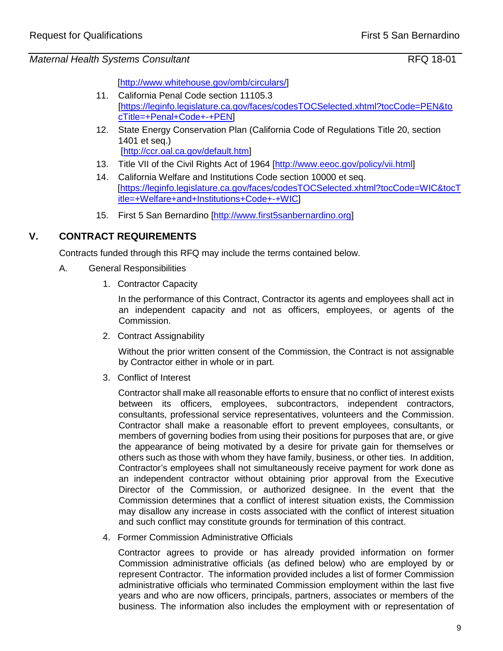[\[http://www.whitehouse.gov/omb/circulars/\]](http://www.whitehouse.gov/omb/circulars/)

- 11. California Penal Code section 11105.3 [https://leginfo.legislature.ca.gov/faces/codesTOCSelected.xhtml?tocCode=PEN&to cTitle=+Penal+Code+-+PE[N\]](http://www.leginfo.ca.gov/calaw.html)
- 12. State Energy Conservation Plan (California Code of Regulations Title 20, section 1401 et seq.) [\[http://ccr.oal.ca.gov/default.htm\]](http://ccr.oal.ca.gov/default.htm)
- 13. Title VII of the Civil Rights Act of 1964 [http://www.eeoc.gov/policy/vii.html]
- 14. California Welfare and Institutions Code section 10000 et seq. [\[h](http://www.leginfo.ca.gov/calaw.html)ttps://leginfo.legislature.ca.gov/faces/codesTOCSelected.xhtml?tocCode=WIC&tocT itle=+Welfare+and+Institutions+Code+-+WI[C\]](http://www.leginfo.ca.gov/calaw.html)
- 15. First 5 San Bernardino [\[http://www.first5sanbernardino.org\]](http://www.first5sanbernardino.org/)

# **V. CONTRACT REQUIREMENTS**

Contracts funded through this RFQ may include the terms contained below.

- A. General Responsibilities
	- 1. Contractor Capacity

In the performance of this Contract, Contractor its agents and employees shall act in an independent capacity and not as officers, employees, or agents of the Commission.

2. Contract Assignability

Without the prior written consent of the Commission, the Contract is not assignable by Contractor either in whole or in part.

3. Conflict of Interest

Contractor shall make all reasonable efforts to ensure that no conflict of interest exists between its officers, employees, subcontractors, independent contractors, consultants, professional service representatives, volunteers and the Commission. Contractor shall make a reasonable effort to prevent employees, consultants, or members of governing bodies from using their positions for purposes that are, or give the appearance of being motivated by a desire for private gain for themselves or others such as those with whom they have family, business, or other ties. In addition, Contractor's employees shall not simultaneously receive payment for work done as an independent contractor without obtaining prior approval from the Executive Director of the Commission, or authorized designee. In the event that the Commission determines that a conflict of interest situation exists, the Commission may disallow any increase in costs associated with the conflict of interest situation and such conflict may constitute grounds for termination of this contract.

4. Former Commission Administrative Officials

Contractor agrees to provide or has already provided information on former Commission administrative officials (as defined below) who are employed by or represent Contractor. The information provided includes a list of former Commission administrative officials who terminated Commission employment within the last five years and who are now officers, principals, partners, associates or members of the business. The information also includes the employment with or representation of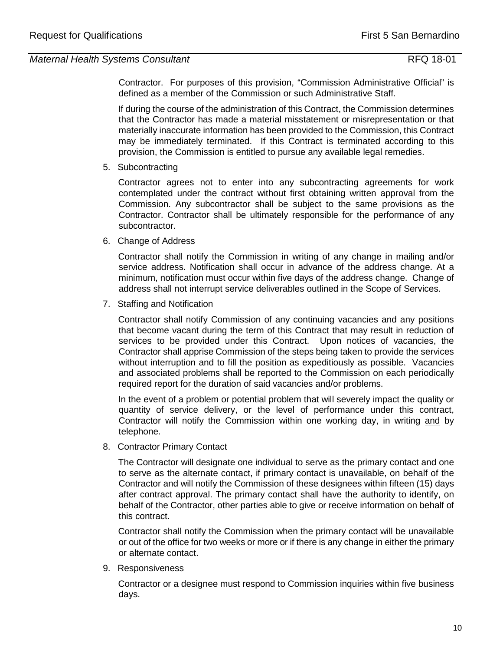Contractor. For purposes of this provision, "Commission Administrative Official" is defined as a member of the Commission or such Administrative Staff.

If during the course of the administration of this Contract, the Commission determines that the Contractor has made a material misstatement or misrepresentation or that materially inaccurate information has been provided to the Commission, this Contract may be immediately terminated. If this Contract is terminated according to this provision, the Commission is entitled to pursue any available legal remedies.

# 5. Subcontracting

Contractor agrees not to enter into any subcontracting agreements for work contemplated under the contract without first obtaining written approval from the Commission. Any subcontractor shall be subject to the same provisions as the Contractor. Contractor shall be ultimately responsible for the performance of any subcontractor.

6. Change of Address

Contractor shall notify the Commission in writing of any change in mailing and/or service address. Notification shall occur in advance of the address change. At a minimum, notification must occur within five days of the address change. Change of address shall not interrupt service deliverables outlined in the Scope of Services.

7. Staffing and Notification

Contractor shall notify Commission of any continuing vacancies and any positions that become vacant during the term of this Contract that may result in reduction of services to be provided under this Contract. Upon notices of vacancies, the Contractor shall apprise Commission of the steps being taken to provide the services without interruption and to fill the position as expeditiously as possible. Vacancies and associated problems shall be reported to the Commission on each periodically required report for the duration of said vacancies and/or problems.

In the event of a problem or potential problem that will severely impact the quality or quantity of service delivery, or the level of performance under this contract, Contractor will notify the Commission within one working day, in writing and by telephone.

8. Contractor Primary Contact

The Contractor will designate one individual to serve as the primary contact and one to serve as the alternate contact, if primary contact is unavailable, on behalf of the Contractor and will notify the Commission of these designees within fifteen (15) days after contract approval. The primary contact shall have the authority to identify, on behalf of the Contractor, other parties able to give or receive information on behalf of this contract.

Contractor shall notify the Commission when the primary contact will be unavailable or out of the office for two weeks or more or if there is any change in either the primary or alternate contact.

9. Responsiveness

Contractor or a designee must respond to Commission inquiries within five business days.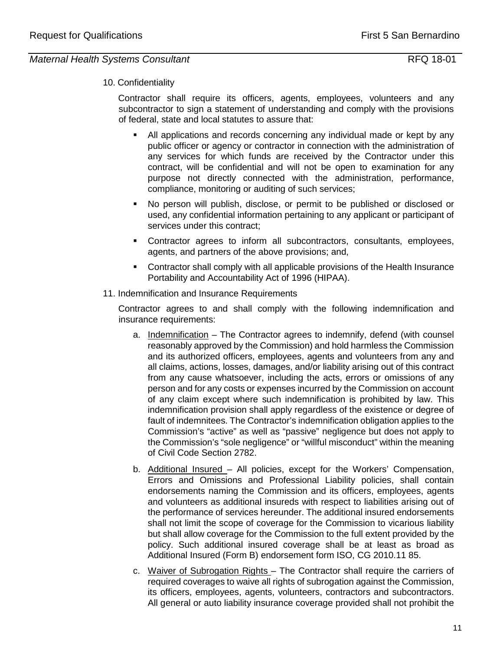# 10. Confidentiality

Contractor shall require its officers, agents, employees, volunteers and any subcontractor to sign a statement of understanding and comply with the provisions of federal, state and local statutes to assure that:

- All applications and records concerning any individual made or kept by any public officer or agency or contractor in connection with the administration of any services for which funds are received by the Contractor under this contract, will be confidential and will not be open to examination for any purpose not directly connected with the administration, performance, compliance, monitoring or auditing of such services;
- No person will publish, disclose, or permit to be published or disclosed or used, any confidential information pertaining to any applicant or participant of services under this contract;
- Contractor agrees to inform all subcontractors, consultants, employees, agents, and partners of the above provisions; and,
- Contractor shall comply with all applicable provisions of the Health Insurance Portability and Accountability Act of 1996 (HIPAA).
- 11. Indemnification and Insurance Requirements

Contractor agrees to and shall comply with the following indemnification and insurance requirements:

- a. Indemnification The Contractor agrees to indemnify, defend (with counsel reasonably approved by the Commission) and hold harmless the Commission and its authorized officers, employees, agents and volunteers from any and all claims, actions, losses, damages, and/or liability arising out of this contract from any cause whatsoever, including the acts, errors or omissions of any person and for any costs or expenses incurred by the Commission on account of any claim except where such indemnification is prohibited by law. This indemnification provision shall apply regardless of the existence or degree of fault of indemnitees. The Contractor's indemnification obligation applies to the Commission's "active" as well as "passive" negligence but does not apply to the Commission's "sole negligence" or "willful misconduct" within the meaning of Civil Code Section 2782.
- b. Additional Insured All policies, except for the Workers' Compensation, Errors and Omissions and Professional Liability policies, shall contain endorsements naming the Commission and its officers, employees, agents and volunteers as additional insureds with respect to liabilities arising out of the performance of services hereunder. The additional insured endorsements shall not limit the scope of coverage for the Commission to vicarious liability but shall allow coverage for the Commission to the full extent provided by the policy. Such additional insured coverage shall be at least as broad as Additional Insured (Form B) endorsement form ISO, CG 2010.11 85.
- c. Waiver of Subrogation Rights The Contractor shall require the carriers of required coverages to waive all rights of subrogation against the Commission, its officers, employees, agents, volunteers, contractors and subcontractors. All general or auto liability insurance coverage provided shall not prohibit the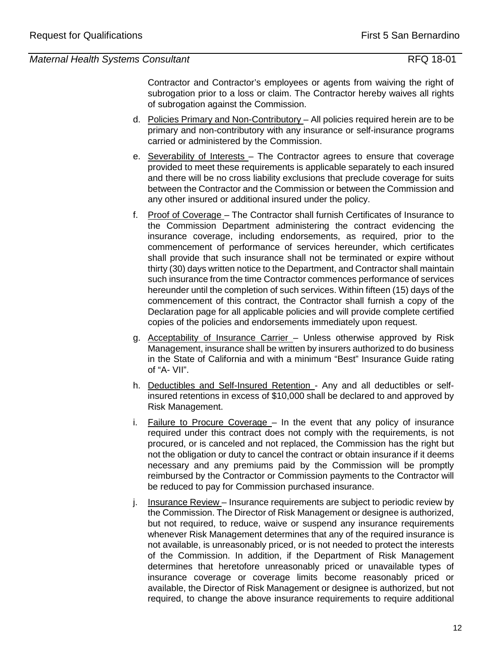Contractor and Contractor's employees or agents from waiving the right of subrogation prior to a loss or claim. The Contractor hereby waives all rights of subrogation against the Commission.

- d. Policies Primary and Non-Contributory All policies required herein are to be primary and non-contributory with any insurance or self-insurance programs carried or administered by the Commission.
- e. Severability of Interests The Contractor agrees to ensure that coverage provided to meet these requirements is applicable separately to each insured and there will be no cross liability exclusions that preclude coverage for suits between the Contractor and the Commission or between the Commission and any other insured or additional insured under the policy.
- f. Proof of Coverage The Contractor shall furnish Certificates of Insurance to the Commission Department administering the contract evidencing the insurance coverage, including endorsements, as required, prior to the commencement of performance of services hereunder, which certificates shall provide that such insurance shall not be terminated or expire without thirty (30) days written notice to the Department, and Contractor shall maintain such insurance from the time Contractor commences performance of services hereunder until the completion of such services. Within fifteen (15) days of the commencement of this contract, the Contractor shall furnish a copy of the Declaration page for all applicable policies and will provide complete certified copies of the policies and endorsements immediately upon request.
- g. Acceptability of Insurance Carrier Unless otherwise approved by Risk Management, insurance shall be written by insurers authorized to do business in the State of California and with a minimum "Best" Insurance Guide rating of "A- VII".
- h. Deductibles and Self-Insured Retention Any and all deductibles or selfinsured retentions in excess of \$10,000 shall be declared to and approved by Risk Management.
- i. Failure to Procure Coverage In the event that any policy of insurance required under this contract does not comply with the requirements, is not procured, or is canceled and not replaced, the Commission has the right but not the obligation or duty to cancel the contract or obtain insurance if it deems necessary and any premiums paid by the Commission will be promptly reimbursed by the Contractor or Commission payments to the Contractor will be reduced to pay for Commission purchased insurance.
- j. Insurance Review Insurance requirements are subject to periodic review by the Commission. The Director of Risk Management or designee is authorized, but not required, to reduce, waive or suspend any insurance requirements whenever Risk Management determines that any of the required insurance is not available, is unreasonably priced, or is not needed to protect the interests of the Commission. In addition, if the Department of Risk Management determines that heretofore unreasonably priced or unavailable types of insurance coverage or coverage limits become reasonably priced or available, the Director of Risk Management or designee is authorized, but not required, to change the above insurance requirements to require additional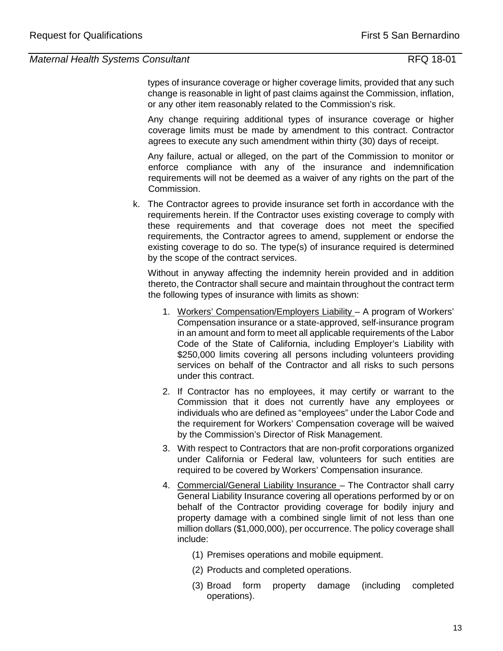types of insurance coverage or higher coverage limits, provided that any such change is reasonable in light of past claims against the Commission, inflation, or any other item reasonably related to the Commission's risk.

Any change requiring additional types of insurance coverage or higher coverage limits must be made by amendment to this contract. Contractor agrees to execute any such amendment within thirty (30) days of receipt.

Any failure, actual or alleged, on the part of the Commission to monitor or enforce compliance with any of the insurance and indemnification requirements will not be deemed as a waiver of any rights on the part of the Commission.

k. The Contractor agrees to provide insurance set forth in accordance with the requirements herein. If the Contractor uses existing coverage to comply with these requirements and that coverage does not meet the specified requirements, the Contractor agrees to amend, supplement or endorse the existing coverage to do so. The type(s) of insurance required is determined by the scope of the contract services.

Without in anyway affecting the indemnity herein provided and in addition thereto, the Contractor shall secure and maintain throughout the contract term the following types of insurance with limits as shown:

- 1. Workers' Compensation/Employers Liability A program of Workers' Compensation insurance or a state-approved, self-insurance program in an amount and form to meet all applicable requirements of the Labor Code of the State of California, including Employer's Liability with \$250,000 limits covering all persons including volunteers providing services on behalf of the Contractor and all risks to such persons under this contract.
- 2. If Contractor has no employees, it may certify or warrant to the Commission that it does not currently have any employees or individuals who are defined as "employees" under the Labor Code and the requirement for Workers' Compensation coverage will be waived by the Commission's Director of Risk Management.
- 3. With respect to Contractors that are non-profit corporations organized under California or Federal law, volunteers for such entities are required to be covered by Workers' Compensation insurance.
- 4. Commercial/General Liability Insurance The Contractor shall carry General Liability Insurance covering all operations performed by or on behalf of the Contractor providing coverage for bodily injury and property damage with a combined single limit of not less than one million dollars (\$1,000,000), per occurrence. The policy coverage shall include:
	- (1) Premises operations and mobile equipment.
	- (2) Products and completed operations.
	- (3) Broad form property damage (including completed operations).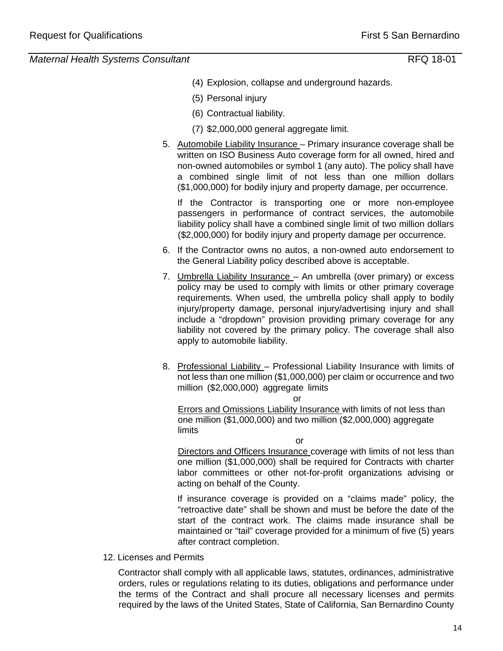- (4) Explosion, collapse and underground hazards.
- (5) Personal injury
- (6) Contractual liability.
- (7) \$2,000,000 general aggregate limit.
- 5. Automobile Liability Insurance Primary insurance coverage shall be written on ISO Business Auto coverage form for all owned, hired and non-owned automobiles or symbol 1 (any auto). The policy shall have a combined single limit of not less than one million dollars (\$1,000,000) for bodily injury and property damage, per occurrence.

If the Contractor is transporting one or more non-employee passengers in performance of contract services, the automobile liability policy shall have a combined single limit of two million dollars (\$2,000,000) for bodily injury and property damage per occurrence.

- 6. If the Contractor owns no autos, a non-owned auto endorsement to the General Liability policy described above is acceptable.
- 7. Umbrella Liability Insurance An umbrella (over primary) or excess policy may be used to comply with limits or other primary coverage requirements. When used, the umbrella policy shall apply to bodily injury/property damage, personal injury/advertising injury and shall include a "dropdown" provision providing primary coverage for any liability not covered by the primary policy. The coverage shall also apply to automobile liability.
- 8. Professional Liability Professional Liability Insurance with limits of not less than one million (\$1,000,000) per claim or occurrence and two million (\$2,000,000) aggregate limits

or Errors and Omissions Liability Insurance with limits of not less than one million (\$1,000,000) and two million (\$2,000,000) aggregate limits

or Directors and Officers Insurance coverage with limits of not less than one million (\$1,000,000) shall be required for Contracts with charter labor committees or other not-for-profit organizations advising or acting on behalf of the County.

If insurance coverage is provided on a "claims made" policy, the "retroactive date" shall be shown and must be before the date of the start of the contract work. The claims made insurance shall be maintained or "tail" coverage provided for a minimum of five (5) years after contract completion.

12. Licenses and Permits

Contractor shall comply with all applicable laws, statutes, ordinances, administrative orders, rules or regulations relating to its duties, obligations and performance under the terms of the Contract and shall procure all necessary licenses and permits required by the laws of the United States, State of California, San Bernardino County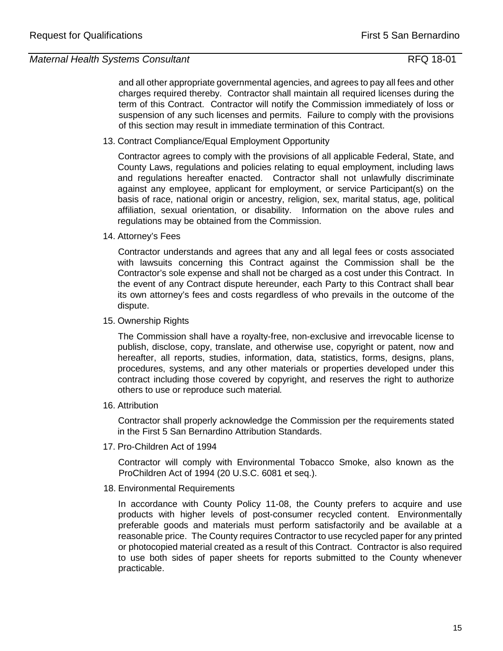and all other appropriate governmental agencies, and agrees to pay all fees and other charges required thereby. Contractor shall maintain all required licenses during the term of this Contract. Contractor will notify the Commission immediately of loss or suspension of any such licenses and permits. Failure to comply with the provisions of this section may result in immediate termination of this Contract.

13. Contract Compliance/Equal Employment Opportunity

 Contractor agrees to comply with the provisions of all applicable Federal, State, and County Laws, regulations and policies relating to equal employment, including laws and regulations hereafter enacted. Contractor shall not unlawfully discriminate against any employee, applicant for employment, or service Participant(s) on the basis of race, national origin or ancestry, religion, sex, marital status, age, political affiliation, sexual orientation, or disability. Information on the above rules and regulations may be obtained from the Commission.

## 14. Attorney's Fees

 Contractor understands and agrees that any and all legal fees or costs associated with lawsuits concerning this Contract against the Commission shall be the Contractor's sole expense and shall not be charged as a cost under this Contract. In the event of any Contract dispute hereunder, each Party to this Contract shall bear its own attorney's fees and costs regardless of who prevails in the outcome of the dispute.

15. Ownership Rights

 The Commission shall have a royalty-free, non-exclusive and irrevocable license to publish, disclose, copy, translate, and otherwise use, copyright or patent, now and hereafter, all reports, studies, information, data, statistics, forms, designs, plans, procedures, systems, and any other materials or properties developed under this contract including those covered by copyright, and reserves the right to authorize others to use or reproduce such material*.* 

16. Attribution

 Contractor shall properly acknowledge the Commission per the requirements stated in the First 5 San Bernardino Attribution Standards.

17. Pro-Children Act of 1994

Contractor will comply with Environmental Tobacco Smoke, also known as the ProChildren Act of 1994 (20 U.S.C. 6081 et seq.).

18. Environmental Requirements

In accordance with County Policy 11-08, the County prefers to acquire and use products with higher levels of post-consumer recycled content. Environmentally preferable goods and materials must perform satisfactorily and be available at a reasonable price. The County requires Contractor to use recycled paper for any printed or photocopied material created as a result of this Contract. Contractor is also required to use both sides of paper sheets for reports submitted to the County whenever practicable.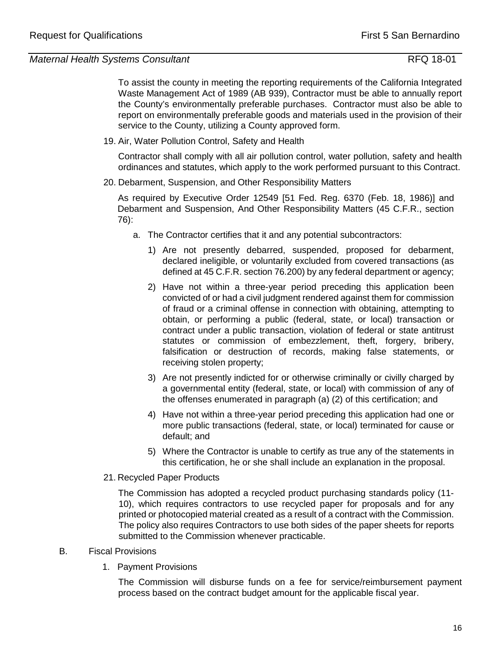To assist the county in meeting the reporting requirements of the California Integrated Waste Management Act of 1989 (AB 939), Contractor must be able to annually report the County's environmentally preferable purchases. Contractor must also be able to report on environmentally preferable goods and materials used in the provision of their service to the County, utilizing a County approved form.

19. Air, Water Pollution Control, Safety and Health

Contractor shall comply with all air pollution control, water pollution, safety and health ordinances and statutes, which apply to the work performed pursuant to this Contract.

20. Debarment, Suspension, and Other Responsibility Matters

 As required by Executive Order 12549 [51 Fed. Reg. 6370 (Feb. 18, 1986)] and Debarment and Suspension, And Other Responsibility Matters (45 C.F.R., section 76):

- a. The Contractor certifies that it and any potential subcontractors:
	- 1) Are not presently debarred, suspended, proposed for debarment, declared ineligible, or voluntarily excluded from covered transactions (as defined at 45 C.F.R. section 76.200) by any federal department or agency;
	- 2) Have not within a three-year period preceding this application been convicted of or had a civil judgment rendered against them for commission of fraud or a criminal offense in connection with obtaining, attempting to obtain, or performing a public (federal, state, or local) transaction or contract under a public transaction, violation of federal or state antitrust statutes or commission of embezzlement, theft, forgery, bribery, falsification or destruction of records, making false statements, or receiving stolen property;
	- 3) Are not presently indicted for or otherwise criminally or civilly charged by a governmental entity (federal, state, or local) with commission of any of the offenses enumerated in paragraph (a) (2) of this certification; and
	- 4) Have not within a three-year period preceding this application had one or more public transactions (federal, state, or local) terminated for cause or default; and
	- 5) Where the Contractor is unable to certify as true any of the statements in this certification, he or she shall include an explanation in the proposal.
- 21. Recycled Paper Products

The Commission has adopted a recycled product purchasing standards policy (11- 10), which requires contractors to use recycled paper for proposals and for any printed or photocopied material created as a result of a contract with the Commission. The policy also requires Contractors to use both sides of the paper sheets for reports submitted to the Commission whenever practicable.

- B. Fiscal Provisions
	- 1. Payment Provisions

The Commission will disburse funds on a fee for service/reimbursement payment process based on the contract budget amount for the applicable fiscal year.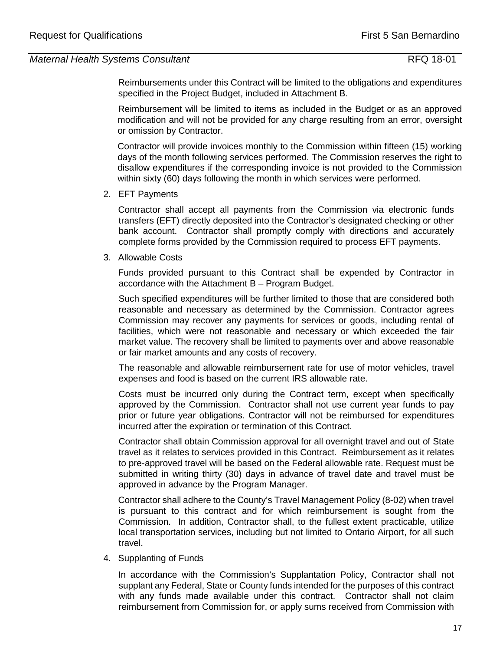Reimbursements under this Contract will be limited to the obligations and expenditures specified in the Project Budget, included in Attachment B.

Reimbursement will be limited to items as included in the Budget or as an approved modification and will not be provided for any charge resulting from an error, oversight or omission by Contractor.

Contractor will provide invoices monthly to the Commission within fifteen (15) working days of the month following services performed. The Commission reserves the right to disallow expenditures if the corresponding invoice is not provided to the Commission within sixty (60) days following the month in which services were performed.

2. EFT Payments

Contractor shall accept all payments from the Commission via electronic funds transfers (EFT) directly deposited into the Contractor's designated checking or other bank account. Contractor shall promptly comply with directions and accurately complete forms provided by the Commission required to process EFT payments.

3. Allowable Costs

Funds provided pursuant to this Contract shall be expended by Contractor in accordance with the Attachment B – Program Budget.

Such specified expenditures will be further limited to those that are considered both reasonable and necessary as determined by the Commission. Contractor agrees Commission may recover any payments for services or goods, including rental of facilities, which were not reasonable and necessary or which exceeded the fair market value. The recovery shall be limited to payments over and above reasonable or fair market amounts and any costs of recovery.

The reasonable and allowable reimbursement rate for use of motor vehicles, travel expenses and food is based on the current IRS allowable rate.

Costs must be incurred only during the Contract term, except when specifically approved by the Commission. Contractor shall not use current year funds to pay prior or future year obligations. Contractor will not be reimbursed for expenditures incurred after the expiration or termination of this Contract.

Contractor shall obtain Commission approval for all overnight travel and out of State travel as it relates to services provided in this Contract. Reimbursement as it relates to pre-approved travel will be based on the Federal allowable rate. Request must be submitted in writing thirty (30) days in advance of travel date and travel must be approved in advance by the Program Manager.

Contractor shall adhere to the County's Travel Management Policy (8-02) when travel is pursuant to this contract and for which reimbursement is sought from the Commission. In addition, Contractor shall, to the fullest extent practicable, utilize local transportation services, including but not limited to Ontario Airport, for all such travel.

4. Supplanting of Funds

In accordance with the Commission's Supplantation Policy, Contractor shall not supplant any Federal, State or County funds intended for the purposes of this contract with any funds made available under this contract. Contractor shall not claim reimbursement from Commission for, or apply sums received from Commission with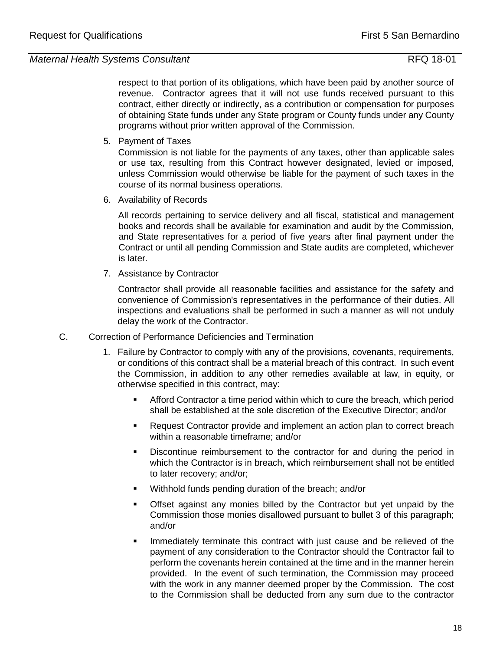respect to that portion of its obligations, which have been paid by another source of revenue. Contractor agrees that it will not use funds received pursuant to this contract, either directly or indirectly, as a contribution or compensation for purposes of obtaining State funds under any State program or County funds under any County programs without prior written approval of the Commission.

5. Payment of Taxes

Commission is not liable for the payments of any taxes, other than applicable sales or use tax, resulting from this Contract however designated, levied or imposed, unless Commission would otherwise be liable for the payment of such taxes in the course of its normal business operations.

6. Availability of Records

All records pertaining to service delivery and all fiscal, statistical and management books and records shall be available for examination and audit by the Commission, and State representatives for a period of five years after final payment under the Contract or until all pending Commission and State audits are completed, whichever is later.

7. Assistance by Contractor

 Contractor shall provide all reasonable facilities and assistance for the safety and convenience of Commission's representatives in the performance of their duties. All inspections and evaluations shall be performed in such a manner as will not unduly delay the work of the Contractor.

- C. Correction of Performance Deficiencies and Termination
	- 1. Failure by Contractor to comply with any of the provisions, covenants, requirements, or conditions of this contract shall be a material breach of this contract. In such event the Commission, in addition to any other remedies available at law, in equity, or otherwise specified in this contract, may:
		- Afford Contractor a time period within which to cure the breach, which period shall be established at the sole discretion of the Executive Director; and/or
		- **Request Contractor provide and implement an action plan to correct breach** within a reasonable timeframe; and/or
		- **•** Discontinue reimbursement to the contractor for and during the period in which the Contractor is in breach, which reimbursement shall not be entitled to later recovery; and/or;
		- Withhold funds pending duration of the breach; and/or
		- Offset against any monies billed by the Contractor but yet unpaid by the Commission those monies disallowed pursuant to bullet 3 of this paragraph; and/or
		- Immediately terminate this contract with just cause and be relieved of the payment of any consideration to the Contractor should the Contractor fail to perform the covenants herein contained at the time and in the manner herein provided. In the event of such termination, the Commission may proceed with the work in any manner deemed proper by the Commission. The cost to the Commission shall be deducted from any sum due to the contractor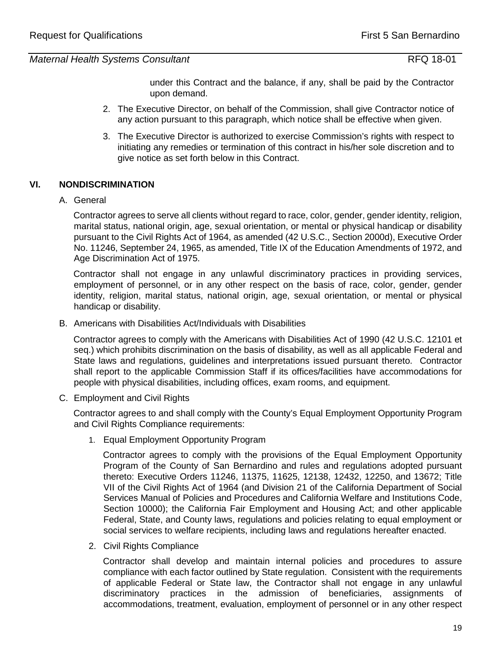under this Contract and the balance, if any, shall be paid by the Contractor upon demand.

- 2. The Executive Director, on behalf of the Commission, shall give Contractor notice of any action pursuant to this paragraph, which notice shall be effective when given.
- 3. The Executive Director is authorized to exercise Commission's rights with respect to initiating any remedies or termination of this contract in his/her sole discretion and to give notice as set forth below in this Contract.

## **VI. NONDISCRIMINATION**

A. General

Contractor agrees to serve all clients without regard to race, color, gender, gender identity, religion, marital status, national origin, age, sexual orientation, or mental or physical handicap or disability pursuant to the Civil Rights Act of 1964, as amended (42 U.S.C., Section 2000d), Executive Order No. 11246, September 24, 1965, as amended, Title IX of the Education Amendments of 1972, and Age Discrimination Act of 1975.

Contractor shall not engage in any unlawful discriminatory practices in providing services, employment of personnel, or in any other respect on the basis of race, color, gender, gender identity, religion, marital status, national origin, age, sexual orientation, or mental or physical handicap or disability.

B. Americans with Disabilities Act/Individuals with Disabilities

Contractor agrees to comply with the Americans with Disabilities Act of 1990 (42 U.S.C. 12101 et seq.) which prohibits discrimination on the basis of disability, as well as all applicable Federal and State laws and regulations, guidelines and interpretations issued pursuant thereto. Contractor shall report to the applicable Commission Staff if its offices/facilities have accommodations for people with physical disabilities, including offices, exam rooms, and equipment.

C. Employment and Civil Rights

Contractor agrees to and shall comply with the County's Equal Employment Opportunity Program and Civil Rights Compliance requirements:

1. Equal Employment Opportunity Program

Contractor agrees to comply with the provisions of the Equal Employment Opportunity Program of the County of San Bernardino and rules and regulations adopted pursuant thereto: Executive Orders 11246, 11375, 11625, 12138, 12432, 12250, and 13672; Title VII of the Civil Rights Act of 1964 (and Division 21 of the California Department of Social Services Manual of Policies and Procedures and California Welfare and Institutions Code, Section 10000); the California Fair Employment and Housing Act; and other applicable Federal, State, and County laws, regulations and policies relating to equal employment or social services to welfare recipients, including laws and regulations hereafter enacted.

2. Civil Rights Compliance

Contractor shall develop and maintain internal policies and procedures to assure compliance with each factor outlined by State regulation. Consistent with the requirements of applicable Federal or State law, the Contractor shall not engage in any unlawful discriminatory practices in the admission of beneficiaries, assignments of accommodations, treatment, evaluation, employment of personnel or in any other respect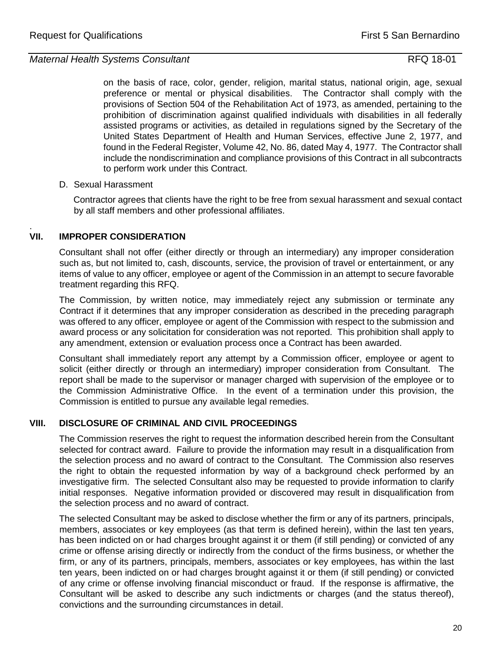on the basis of race, color, gender, religion, marital status, national origin, age, sexual preference or mental or physical disabilities. The Contractor shall comply with the provisions of Section 504 of the Rehabilitation Act of 1973, as amended, pertaining to the prohibition of discrimination against qualified individuals with disabilities in all federally assisted programs or activities, as detailed in regulations signed by the Secretary of the United States Department of Health and Human Services, effective June 2, 1977, and found in the Federal Register, Volume 42, No. 86, dated May 4, 1977. The Contractor shall include the nondiscrimination and compliance provisions of this Contract in all subcontracts to perform work under this Contract.

#### D. Sexual Harassment

Contractor agrees that clients have the right to be free from sexual harassment and sexual contact by all staff members and other professional affiliates.

#### . **VII. IMPROPER CONSIDERATION**

Consultant shall not offer (either directly or through an intermediary) any improper consideration such as, but not limited to, cash, discounts, service, the provision of travel or entertainment, or any items of value to any officer, employee or agent of the Commission in an attempt to secure favorable treatment regarding this RFQ.

The Commission, by written notice, may immediately reject any submission or terminate any Contract if it determines that any improper consideration as described in the preceding paragraph was offered to any officer, employee or agent of the Commission with respect to the submission and award process or any solicitation for consideration was not reported. This prohibition shall apply to any amendment, extension or evaluation process once a Contract has been awarded.

Consultant shall immediately report any attempt by a Commission officer, employee or agent to solicit (either directly or through an intermediary) improper consideration from Consultant. The report shall be made to the supervisor or manager charged with supervision of the employee or to the Commission Administrative Office. In the event of a termination under this provision, the Commission is entitled to pursue any available legal remedies.

## **VIII. DISCLOSURE OF CRIMINAL AND CIVIL PROCEEDINGS**

The Commission reserves the right to request the information described herein from the Consultant selected for contract award. Failure to provide the information may result in a disqualification from the selection process and no award of contract to the Consultant. The Commission also reserves the right to obtain the requested information by way of a background check performed by an investigative firm. The selected Consultant also may be requested to provide information to clarify initial responses. Negative information provided or discovered may result in disqualification from the selection process and no award of contract.

The selected Consultant may be asked to disclose whether the firm or any of its partners, principals, members, associates or key employees (as that term is defined herein), within the last ten years, has been indicted on or had charges brought against it or them (if still pending) or convicted of any crime or offense arising directly or indirectly from the conduct of the firms business, or whether the firm, or any of its partners, principals, members, associates or key employees, has within the last ten years, been indicted on or had charges brought against it or them (if still pending) or convicted of any crime or offense involving financial misconduct or fraud. If the response is affirmative, the Consultant will be asked to describe any such indictments or charges (and the status thereof), convictions and the surrounding circumstances in detail.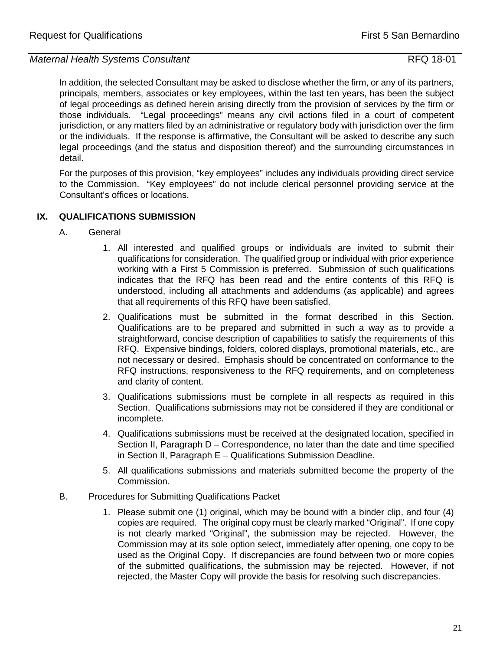In addition, the selected Consultant may be asked to disclose whether the firm, or any of its partners, principals, members, associates or key employees, within the last ten years, has been the subject of legal proceedings as defined herein arising directly from the provision of services by the firm or those individuals. "Legal proceedings" means any civil actions filed in a court of competent jurisdiction, or any matters filed by an administrative or regulatory body with jurisdiction over the firm or the individuals. If the response is affirmative, the Consultant will be asked to describe any such legal proceedings (and the status and disposition thereof) and the surrounding circumstances in detail.

For the purposes of this provision, "key employees" includes any individuals providing direct service to the Commission. "Key employees" do not include clerical personnel providing service at the Consultant's offices or locations.

# **IX. QUALIFICATIONS SUBMISSION**

- A. General
	- 1. All interested and qualified groups or individuals are invited to submit their qualifications for consideration. The qualified group or individual with prior experience working with a First 5 Commission is preferred. Submission of such qualifications indicates that the RFQ has been read and the entire contents of this RFQ is understood, including all attachments and addendums (as applicable) and agrees that all requirements of this RFQ have been satisfied.
	- 2. Qualifications must be submitted in the format described in this Section. Qualifications are to be prepared and submitted in such a way as to provide a straightforward, concise description of capabilities to satisfy the requirements of this RFQ. Expensive bindings, folders, colored displays, promotional materials, etc., are not necessary or desired. Emphasis should be concentrated on conformance to the RFQ instructions, responsiveness to the RFQ requirements, and on completeness and clarity of content.
	- 3. Qualifications submissions must be complete in all respects as required in this Section. Qualifications submissions may not be considered if they are conditional or incomplete.
	- 4. Qualifications submissions must be received at the designated location, specified in Section II, Paragraph D – Correspondence, no later than the date and time specified in Section II, Paragraph E – Qualifications Submission Deadline.
	- 5. All qualifications submissions and materials submitted become the property of the Commission.
- B. Procedures for Submitting Qualifications Packet
	- 1. Please submit one (1) original, which may be bound with a binder clip, and four (4) copies are required. The original copy must be clearly marked "Original". If one copy is not clearly marked "Original", the submission may be rejected. However, the Commission may at its sole option select, immediately after opening, one copy to be used as the Original Copy. If discrepancies are found between two or more copies of the submitted qualifications, the submission may be rejected. However, if not rejected, the Master Copy will provide the basis for resolving such discrepancies.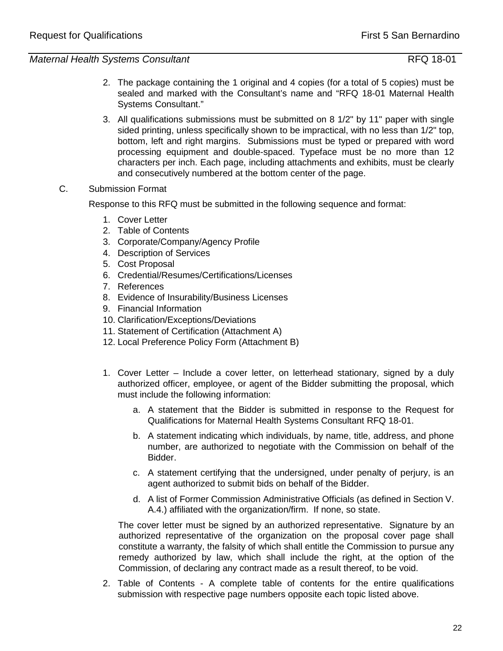- 2. The package containing the 1 original and 4 copies (for a total of 5 copies) must be sealed and marked with the Consultant's name and "RFQ 18-01 Maternal Health Systems Consultant."
- 3. All qualifications submissions must be submitted on 8 1/2" by 11" paper with single sided printing, unless specifically shown to be impractical, with no less than 1/2" top, bottom, left and right margins. Submissions must be typed or prepared with word processing equipment and double-spaced. Typeface must be no more than 12 characters per inch. Each page, including attachments and exhibits, must be clearly and consecutively numbered at the bottom center of the page.
- C. Submission Format

Response to this RFQ must be submitted in the following sequence and format:

- 1. Cover Letter
- 2. Table of Contents
- 3. Corporate/Company/Agency Profile
- 4. Description of Services
- 5. Cost Proposal
- 6. Credential/Resumes/Certifications/Licenses
- 7. References
- 8. Evidence of Insurability/Business Licenses
- 9. Financial Information
- 10. Clarification/Exceptions/Deviations
- 11. Statement of Certification (Attachment A)
- 12. Local Preference Policy Form (Attachment B)
- 1. Cover Letter Include a cover letter, on letterhead stationary, signed by a duly authorized officer, employee, or agent of the Bidder submitting the proposal, which must include the following information:
	- a. A statement that the Bidder is submitted in response to the Request for Qualifications for Maternal Health Systems Consultant RFQ 18-01.
	- b. A statement indicating which individuals, by name, title, address, and phone number, are authorized to negotiate with the Commission on behalf of the Bidder.
	- c. A statement certifying that the undersigned, under penalty of perjury, is an agent authorized to submit bids on behalf of the Bidder.
	- d. A list of Former Commission Administrative Officials (as defined in Section V. A.4.) affiliated with the organization/firm. If none, so state.

The cover letter must be signed by an authorized representative. Signature by an authorized representative of the organization on the proposal cover page shall constitute a warranty, the falsity of which shall entitle the Commission to pursue any remedy authorized by law, which shall include the right, at the option of the Commission, of declaring any contract made as a result thereof, to be void.

2. Table of Contents - A complete table of contents for the entire qualifications submission with respective page numbers opposite each topic listed above.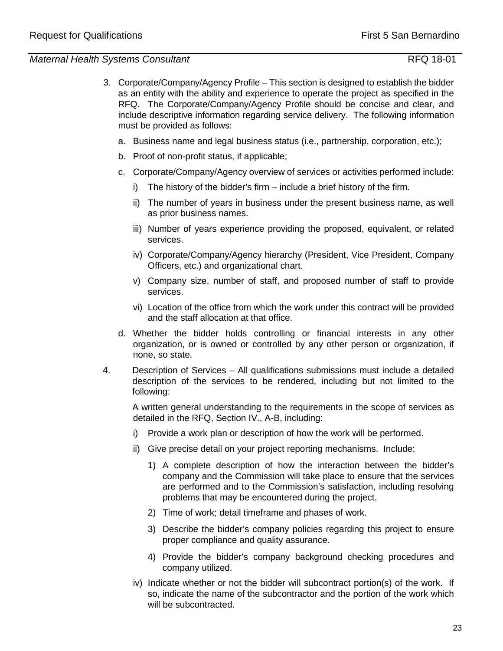- 3. Corporate/Company/Agency Profile This section is designed to establish the bidder as an entity with the ability and experience to operate the project as specified in the RFQ. The Corporate/Company/Agency Profile should be concise and clear, and include descriptive information regarding service delivery. The following information must be provided as follows:
	- a. Business name and legal business status (i.e., partnership, corporation, etc.);
	- b. Proof of non-profit status, if applicable;
	- c. Corporate/Company/Agency overview of services or activities performed include:
		- i) The history of the bidder's firm include a brief history of the firm.
		- ii) The number of years in business under the present business name, as well as prior business names.
		- iii) Number of years experience providing the proposed, equivalent, or related services.
		- iv) Corporate/Company/Agency hierarchy (President, Vice President, Company Officers, etc.) and organizational chart.
		- v) Company size, number of staff, and proposed number of staff to provide services.
		- vi) Location of the office from which the work under this contract will be provided and the staff allocation at that office.
	- d. Whether the bidder holds controlling or financial interests in any other organization, or is owned or controlled by any other person or organization, if none, so state.
- 4. Description of Services All qualifications submissions must include a detailed description of the services to be rendered, including but not limited to the following:

A written general understanding to the requirements in the scope of services as detailed in the RFQ, Section IV., A-B, including:

- i) Provide a work plan or description of how the work will be performed.
- ii) Give precise detail on your project reporting mechanisms. Include:
	- 1) A complete description of how the interaction between the bidder's company and the Commission will take place to ensure that the services are performed and to the Commission's satisfaction, including resolving problems that may be encountered during the project.
	- 2) Time of work; detail timeframe and phases of work.
	- 3) Describe the bidder's company policies regarding this project to ensure proper compliance and quality assurance.
	- 4) Provide the bidder's company background checking procedures and company utilized.
- iv) Indicate whether or not the bidder will subcontract portion(s) of the work. If so, indicate the name of the subcontractor and the portion of the work which will be subcontracted.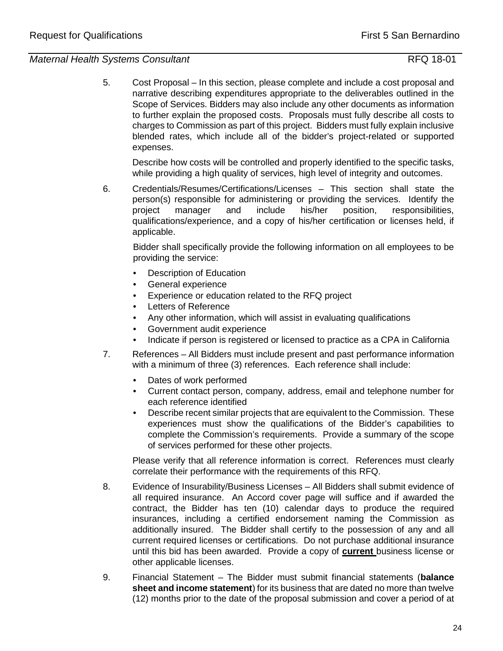5. Cost Proposal – In this section, please complete and include a cost proposal and narrative describing expenditures appropriate to the deliverables outlined in the Scope of Services. Bidders may also include any other documents as information to further explain the proposed costs. Proposals must fully describe all costs to charges to Commission as part of this project. Bidders must fully explain inclusive blended rates, which include all of the bidder's project-related or supported expenses.

Describe how costs will be controlled and properly identified to the specific tasks, while providing a high quality of services, high level of integrity and outcomes.

6. Credentials/Resumes/Certifications/Licenses – This section shall state the person(s) responsible for administering or providing the services. Identify the project manager and include his/her position, responsibilities, qualifications/experience, and a copy of his/her certification or licenses held, if applicable.

Bidder shall specifically provide the following information on all employees to be providing the service:

- **Description of Education**
- General experience
- Experience or education related to the RFQ project
- Letters of Reference
- Any other information, which will assist in evaluating qualifications
- Government audit experience
- Indicate if person is registered or licensed to practice as a CPA in California
- 7. References All Bidders must include present and past performance information with a minimum of three (3) references. Each reference shall include:
	- Dates of work performed
	- Current contact person, company, address, email and telephone number for each reference identified
	- Describe recent similar projects that are equivalent to the Commission. These experiences must show the qualifications of the Bidder's capabilities to complete the Commission's requirements. Provide a summary of the scope of services performed for these other projects.

Please verify that all reference information is correct. References must clearly correlate their performance with the requirements of this RFQ.

- 8. Evidence of Insurability/Business Licenses All Bidders shall submit evidence of all required insurance. An Accord cover page will suffice and if awarded the contract, the Bidder has ten (10) calendar days to produce the required insurances, including a certified endorsement naming the Commission as additionally insured. The Bidder shall certify to the possession of any and all current required licenses or certifications. Do not purchase additional insurance until this bid has been awarded. Provide a copy of **current** business license or other applicable licenses.
- 9. Financial Statement The Bidder must submit financial statements (**balance sheet and income statement**) for its business that are dated no more than twelve (12) months prior to the date of the proposal submission and cover a period of at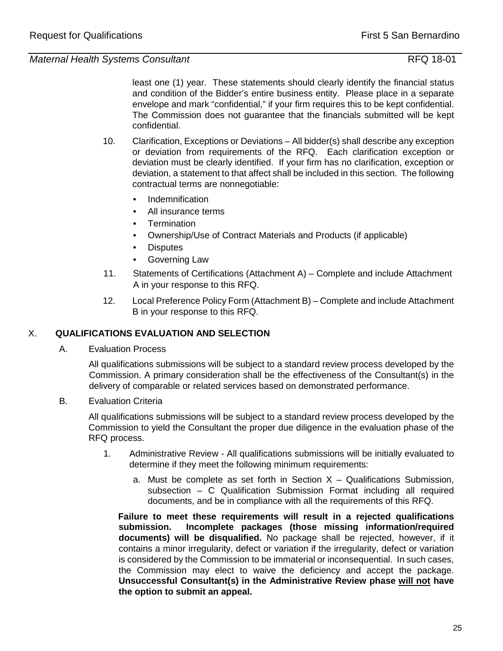least one (1) year. These statements should clearly identify the financial status and condition of the Bidder's entire business entity. Please place in a separate envelope and mark "confidential," if your firm requires this to be kept confidential. The Commission does not guarantee that the financials submitted will be kept confidential.

- 10. Clarification, Exceptions or Deviations All bidder(s) shall describe any exception or deviation from requirements of the RFQ. Each clarification exception or deviation must be clearly identified. If your firm has no clarification, exception or deviation, a statement to that affect shall be included in this section. The following contractual terms are nonnegotiable:
	- Indemnification
	- All insurance terms
	- Termination
	- Ownership/Use of Contract Materials and Products (if applicable)
	- Disputes
	- Governing Law
- 11. Statements of Certifications (Attachment A) Complete and include Attachment A in your response to this RFQ.
- 12. Local Preference Policy Form (Attachment B) Complete and include Attachment B in your response to this RFQ.

# X. **QUALIFICATIONS EVALUATION AND SELECTION**

A. Evaluation Process

All qualifications submissions will be subject to a standard review process developed by the Commission. A primary consideration shall be the effectiveness of the Consultant(s) in the delivery of comparable or related services based on demonstrated performance.

B. Evaluation Criteria

All qualifications submissions will be subject to a standard review process developed by the Commission to yield the Consultant the proper due diligence in the evaluation phase of the RFQ process.

- 1. Administrative Review All qualifications submissions will be initially evaluated to determine if they meet the following minimum requirements:
	- a. Must be complete as set forth in Section  $X -$  Qualifications Submission, subsection – C Qualification Submission Format including all required documents, and be in compliance with all the requirements of this RFQ.

**Failure to meet these requirements will result in a rejected qualifications submission. Incomplete packages (those missing information/required documents) will be disqualified.** No package shall be rejected, however, if it contains a minor irregularity, defect or variation if the irregularity, defect or variation is considered by the Commission to be immaterial or inconsequential. In such cases, the Commission may elect to waive the deficiency and accept the package. **Unsuccessful Consultant(s) in the Administrative Review phase will not have the option to submit an appeal.**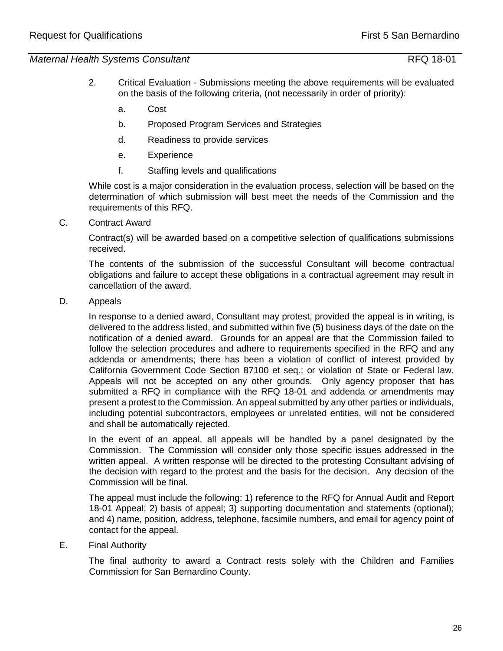- 2. Critical Evaluation Submissions meeting the above requirements will be evaluated on the basis of the following criteria, (not necessarily in order of priority):
	- a. Cost
	- b. Proposed Program Services and Strategies
	- d. Readiness to provide services
	- e. Experience
	- f. Staffing levels and qualifications

While cost is a major consideration in the evaluation process, selection will be based on the determination of which submission will best meet the needs of the Commission and the requirements of this RFQ.

C. Contract Award

Contract(s) will be awarded based on a competitive selection of qualifications submissions received.

The contents of the submission of the successful Consultant will become contractual obligations and failure to accept these obligations in a contractual agreement may result in cancellation of the award.

D. Appeals

In response to a denied award, Consultant may protest, provided the appeal is in writing, is delivered to the address listed, and submitted within five (5) business days of the date on the notification of a denied award. Grounds for an appeal are that the Commission failed to follow the selection procedures and adhere to requirements specified in the RFQ and any addenda or amendments; there has been a violation of conflict of interest provided by California Government Code Section 87100 et seq.; or violation of State or Federal law. Appeals will not be accepted on any other grounds. Only agency proposer that has submitted a RFQ in compliance with the RFQ 18-01 and addenda or amendments may present a protest to the Commission. An appeal submitted by any other parties or individuals, including potential subcontractors, employees or unrelated entities, will not be considered and shall be automatically rejected.

In the event of an appeal, all appeals will be handled by a panel designated by the Commission. The Commission will consider only those specific issues addressed in the written appeal. A written response will be directed to the protesting Consultant advising of the decision with regard to the protest and the basis for the decision. Any decision of the Commission will be final.

The appeal must include the following: 1) reference to the RFQ for Annual Audit and Report 18-01 Appeal; 2) basis of appeal; 3) supporting documentation and statements (optional); and 4) name, position, address, telephone, facsimile numbers, and email for agency point of contact for the appeal.

E. Final Authority

The final authority to award a Contract rests solely with the Children and Families Commission for San Bernardino County.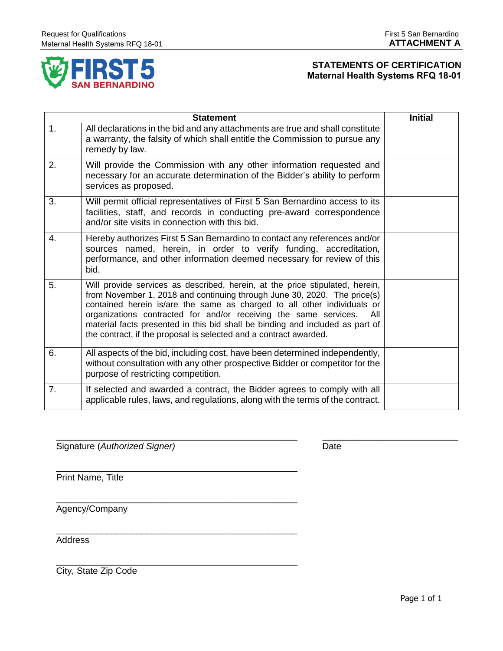

# **STATEMENTS OF CERTIFICATION Maternal Health Systems RFQ 18-01**

| <b>Initial</b><br><b>Statement</b> |                                                                                                                                                                                                                                                                                                                                                                                                                                                                      |  |
|------------------------------------|----------------------------------------------------------------------------------------------------------------------------------------------------------------------------------------------------------------------------------------------------------------------------------------------------------------------------------------------------------------------------------------------------------------------------------------------------------------------|--|
| 1.                                 | All declarations in the bid and any attachments are true and shall constitute<br>a warranty, the falsity of which shall entitle the Commission to pursue any<br>remedy by law.                                                                                                                                                                                                                                                                                       |  |
| 2.                                 | Will provide the Commission with any other information requested and<br>necessary for an accurate determination of the Bidder's ability to perform<br>services as proposed.                                                                                                                                                                                                                                                                                          |  |
| 3.                                 | Will permit official representatives of First 5 San Bernardino access to its<br>facilities, staff, and records in conducting pre-award correspondence<br>and/or site visits in connection with this bid.                                                                                                                                                                                                                                                             |  |
| $\overline{4}$ .                   | Hereby authorizes First 5 San Bernardino to contact any references and/or<br>sources named, herein, in order to verify funding, accreditation,<br>performance, and other information deemed necessary for review of this<br>bid.                                                                                                                                                                                                                                     |  |
| 5.                                 | Will provide services as described, herein, at the price stipulated, herein,<br>from November 1, 2018 and continuing through June 30, 2020. The price(s)<br>contained herein is/are the same as charged to all other individuals or<br>organizations contracted for and/or receiving the same services.<br>All<br>material facts presented in this bid shall be binding and included as part of<br>the contract, if the proposal is selected and a contract awarded. |  |
| 6.                                 | All aspects of the bid, including cost, have been determined independently,<br>without consultation with any other prospective Bidder or competitor for the<br>purpose of restricting competition.                                                                                                                                                                                                                                                                   |  |
| 7.                                 | If selected and awarded a contract, the Bidder agrees to comply with all<br>applicable rules, laws, and regulations, along with the terms of the contract.                                                                                                                                                                                                                                                                                                           |  |

Signature (Authorized Signer) Date

\_\_\_\_\_\_\_\_\_\_\_\_\_\_\_\_\_\_\_\_\_\_\_\_\_\_\_\_\_\_\_\_\_\_\_\_\_\_\_\_\_\_\_\_\_\_\_\_

\_\_\_\_\_\_\_\_\_\_\_\_\_\_\_\_\_\_\_\_\_\_\_\_\_\_\_\_\_\_\_\_\_\_\_\_\_\_\_\_\_\_\_\_\_\_\_\_ \_\_\_\_\_\_\_\_\_\_\_\_\_\_\_\_\_\_\_\_\_\_\_\_\_\_\_

\_\_\_\_\_\_\_\_\_\_\_\_\_\_\_\_\_\_\_\_\_\_\_\_\_\_\_\_\_\_\_\_\_\_\_\_\_\_\_\_\_\_\_\_\_\_\_\_ Print Name, Title

\_\_\_\_\_\_\_\_\_\_\_\_\_\_\_\_\_\_\_\_\_\_\_\_\_\_\_\_\_\_\_\_\_\_\_\_\_\_\_\_\_\_\_\_\_\_\_\_ Agency/Company

Address

\_\_\_\_\_\_\_\_\_\_\_\_\_\_\_\_\_\_\_\_\_\_\_\_\_\_\_\_\_\_\_\_\_\_\_\_\_\_\_\_\_\_\_\_\_\_\_\_ City, State Zip Code